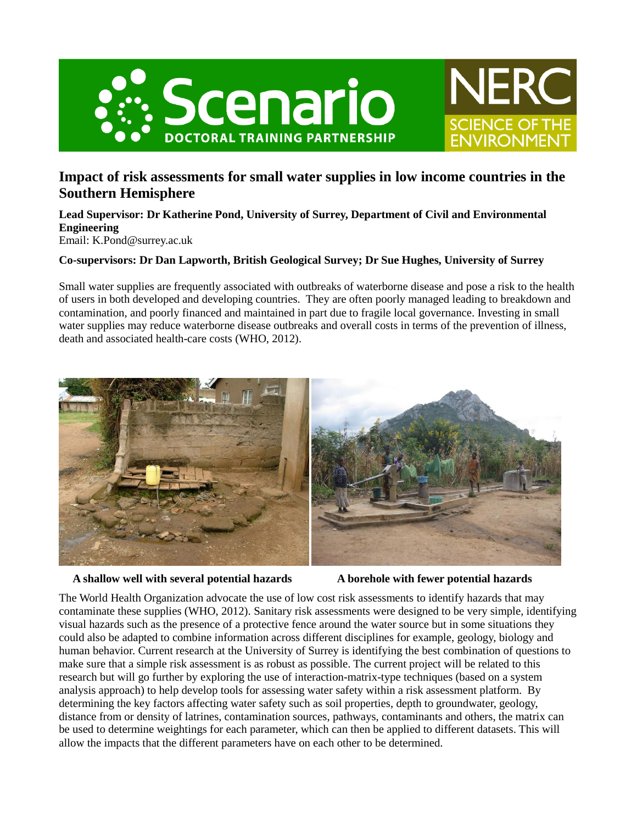



# **Impact of risk assessments for small water supplies in low income countries in the Southern Hemisphere**

**Lead Supervisor: Dr Katherine Pond, University of Surrey, Department of Civil and Environmental Engineering** Email: K.Pond@surrey.ac.uk

# **Co-supervisors: Dr Dan Lapworth, British Geological Survey; Dr Sue Hughes, University of Surrey**

Small water supplies are frequently associated with outbreaks of waterborne disease and pose a risk to the health of users in both developed and developing countries. They are often poorly managed leading to breakdown and contamination, and poorly financed and maintained in part due to fragile local governance. Investing in small water supplies may reduce waterborne disease outbreaks and overall costs in terms of the prevention of illness, death and associated health-care costs (WHO, 2012).



#### **A shallow well with several potential hazards A borehole with fewer potential hazards**

The World Health Organization advocate the use of low cost risk assessments to identify hazards that may contaminate these supplies (WHO, 2012). Sanitary risk assessments were designed to be very simple, identifying visual hazards such as the presence of a protective fence around the water source but in some situations they could also be adapted to combine information across different disciplines for example, geology, biology and human behavior. Current research at the University of Surrey is identifying the best combination of questions to make sure that a simple risk assessment is as robust as possible. The current project will be related to this research but will go further by exploring the use of interaction-matrix-type techniques (based on a system analysis approach) to help develop tools for assessing water safety within a risk assessment platform. By determining the key factors affecting water safety such as soil properties, depth to groundwater, geology, distance from or density of latrines, contamination sources, pathways, contaminants and others, the matrix can be used to determine weightings for each parameter, which can then be applied to different datasets. This will allow the impacts that the different parameters have on each other to be determined.